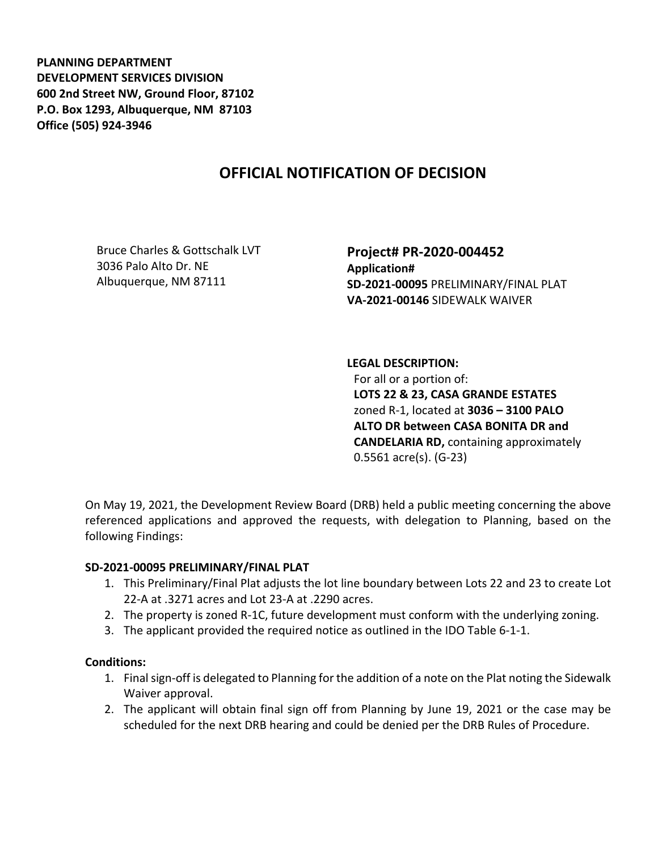**PLANNING DEPARTMENT DEVELOPMENT SERVICES DIVISION 600 2nd Street NW, Ground Floor, 87102 P.O. Box 1293, Albuquerque, NM 87103 Office (505) 924-3946** 

## **OFFICIAL NOTIFICATION OF DECISION**

Bruce Charles & Gottschalk LVT 3036 Palo Alto Dr. NE Albuquerque, NM 87111

**Project# PR-2020-004452 Application# SD-2021-00095** PRELIMINARY/FINAL PLAT **VA-2021-00146** SIDEWALK WAIVER

**LEGAL DESCRIPTION:** For all or a portion of: **LOTS 22 & 23, CASA GRANDE ESTATES**  zoned R-1, located at **3036 – 3100 PALO ALTO DR between CASA BONITA DR and CANDELARIA RD,** containing approximately 0.5561 acre(s). (G-23)

On May 19, 2021, the Development Review Board (DRB) held a public meeting concerning the above referenced applications and approved the requests, with delegation to Planning, based on the following Findings:

## **SD-2021-00095 PRELIMINARY/FINAL PLAT**

- 1. This Preliminary/Final Plat adjusts the lot line boundary between Lots 22 and 23 to create Lot 22-A at .3271 acres and Lot 23-A at .2290 acres.
- 2. The property is zoned R-1C, future development must conform with the underlying zoning.
- 3. The applicant provided the required notice as outlined in the IDO Table 6-1-1.

## **Conditions:**

- 1. Final sign-off is delegated to Planning for the addition of a note on the Plat noting the Sidewalk Waiver approval.
- 2. The applicant will obtain final sign off from Planning by June 19, 2021 or the case may be scheduled for the next DRB hearing and could be denied per the DRB Rules of Procedure.